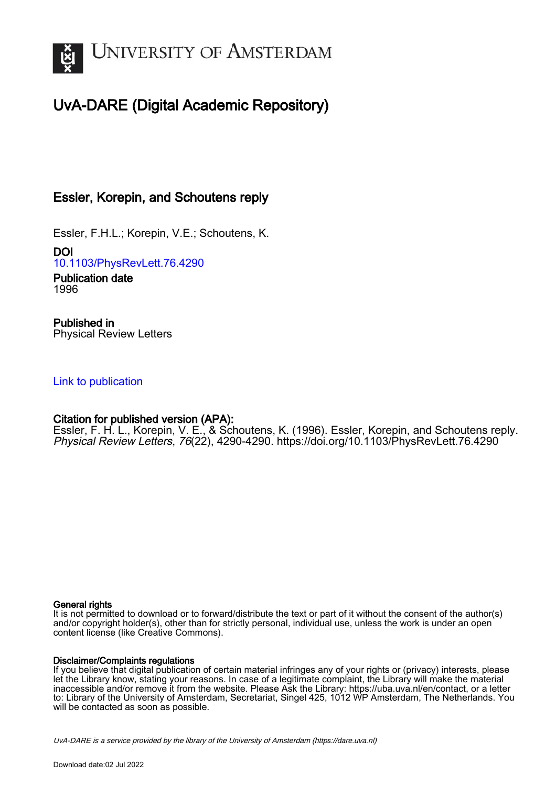

# UvA-DARE (Digital Academic Repository)

## Essler, Korepin, and Schoutens reply

Essler, F.H.L.; Korepin, V.E.; Schoutens, K.

DOI [10.1103/PhysRevLett.76.4290](https://doi.org/10.1103/PhysRevLett.76.4290)

Publication date 1996

Published in Physical Review Letters

### [Link to publication](https://dare.uva.nl/personal/pure/en/publications/essler-korepin-and-schoutens-reply(2c3c75ca-c077-4443-bb04-794752694aff).html)

## Citation for published version (APA):

Essler, F. H. L., Korepin, V. E., & Schoutens, K. (1996). Essler, Korepin, and Schoutens reply. Physical Review Letters, 76(22), 4290-4290.<https://doi.org/10.1103/PhysRevLett.76.4290>

#### General rights

It is not permitted to download or to forward/distribute the text or part of it without the consent of the author(s) and/or copyright holder(s), other than for strictly personal, individual use, unless the work is under an open content license (like Creative Commons).

#### Disclaimer/Complaints regulations

If you believe that digital publication of certain material infringes any of your rights or (privacy) interests, please let the Library know, stating your reasons. In case of a legitimate complaint, the Library will make the material inaccessible and/or remove it from the website. Please Ask the Library: https://uba.uva.nl/en/contact, or a letter to: Library of the University of Amsterdam, Secretariat, Singel 425, 1012 WP Amsterdam, The Netherlands. You will be contacted as soon as possible.

UvA-DARE is a service provided by the library of the University of Amsterdam (http*s*://dare.uva.nl)